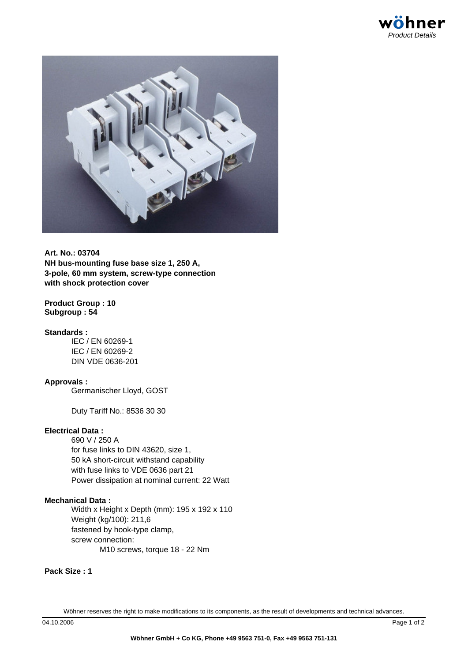

**Art. No.: 03704 NH bus-mounting fuse base size 1, 250 A, 3-pole, 60 mm system, screw-type connection with shock protection cover**

### **Product Group : 10 Subgroup : 54**

### **Standards :**

IEC / EN 60269-1 IEC / EN 60269-2 DIN VDE 0636-201

# **Approvals :**

Germanischer Lloyd, GOST

Duty Tariff No.: 8536 30 30

# **Electrical Data :**

690 V / 250 A for fuse links to DIN 43620, size 1, 50 kA short-circuit withstand capability with fuse links to VDE 0636 part 21 Power dissipation at nominal current: 22 Watt

# **Mechanical Data :**

Width x Height x Depth (mm): 195 x 192 x 110 Weight (kg/100): 211,6 fastened by hook-type clamp, screw connection: M10 screws, torque 18 - 22 Nm

### **Pack Size : 1**

Wöhner reserves the right to make modifications to its components, as the result of developments and technical advances.